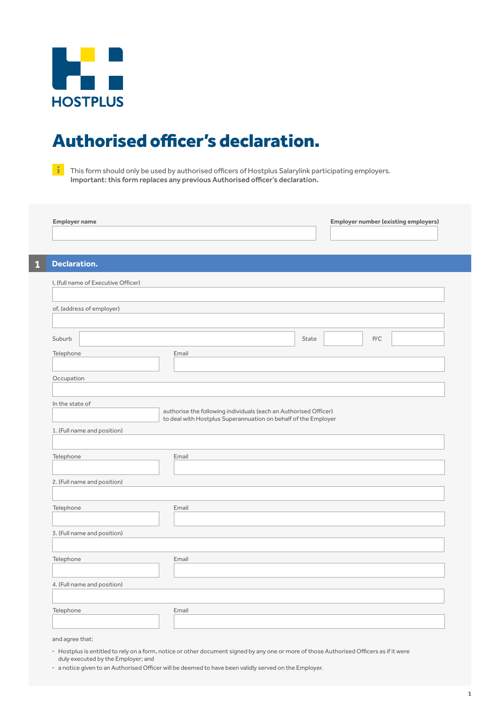

## Authorised officer's declaration.

 $\frac{1}{\sqrt{2}}$  This form should only be used by authorised officers of Hostplus Salarylink participating employers. Important: this form replaces any previous Authorised officer's declaration.

| <b>Employer name</b>                | <b>Employer number (existing employers)</b>                                                                                        |
|-------------------------------------|------------------------------------------------------------------------------------------------------------------------------------|
|                                     |                                                                                                                                    |
| Declaration.                        |                                                                                                                                    |
| I, (full name of Executive Officer) |                                                                                                                                    |
|                                     |                                                                                                                                    |
| of, (address of employer)           |                                                                                                                                    |
|                                     |                                                                                                                                    |
| Suburb                              | P/C<br>State                                                                                                                       |
| Telephone                           | Email                                                                                                                              |
| Occupation                          |                                                                                                                                    |
|                                     |                                                                                                                                    |
| In the state of                     |                                                                                                                                    |
|                                     |                                                                                                                                    |
|                                     | authorise the following individuals (each an Authorised Officer)<br>to deal with Hostplus Superannuation on behalf of the Employer |
| 1. (Full name and position)         |                                                                                                                                    |
| Telephone                           | Email                                                                                                                              |
|                                     |                                                                                                                                    |
| 2. (Full name and position)         |                                                                                                                                    |
|                                     |                                                                                                                                    |
| Telephone                           | Email                                                                                                                              |
| 3. (Full name and position)         |                                                                                                                                    |
|                                     |                                                                                                                                    |
| Telephone                           | Email                                                                                                                              |
|                                     |                                                                                                                                    |
| 4. (Full name and position)         |                                                                                                                                    |
| Telephone                           | Email                                                                                                                              |

and agree that:

- **·** Hostplus is entitled to rely on a form, notice or other document signed by any one or more of those Authorised Officers as if it were duly executed by the Employer; and
- **·** a notice given to an Authorised Officer will be deemed to have been validly served on the Employer.